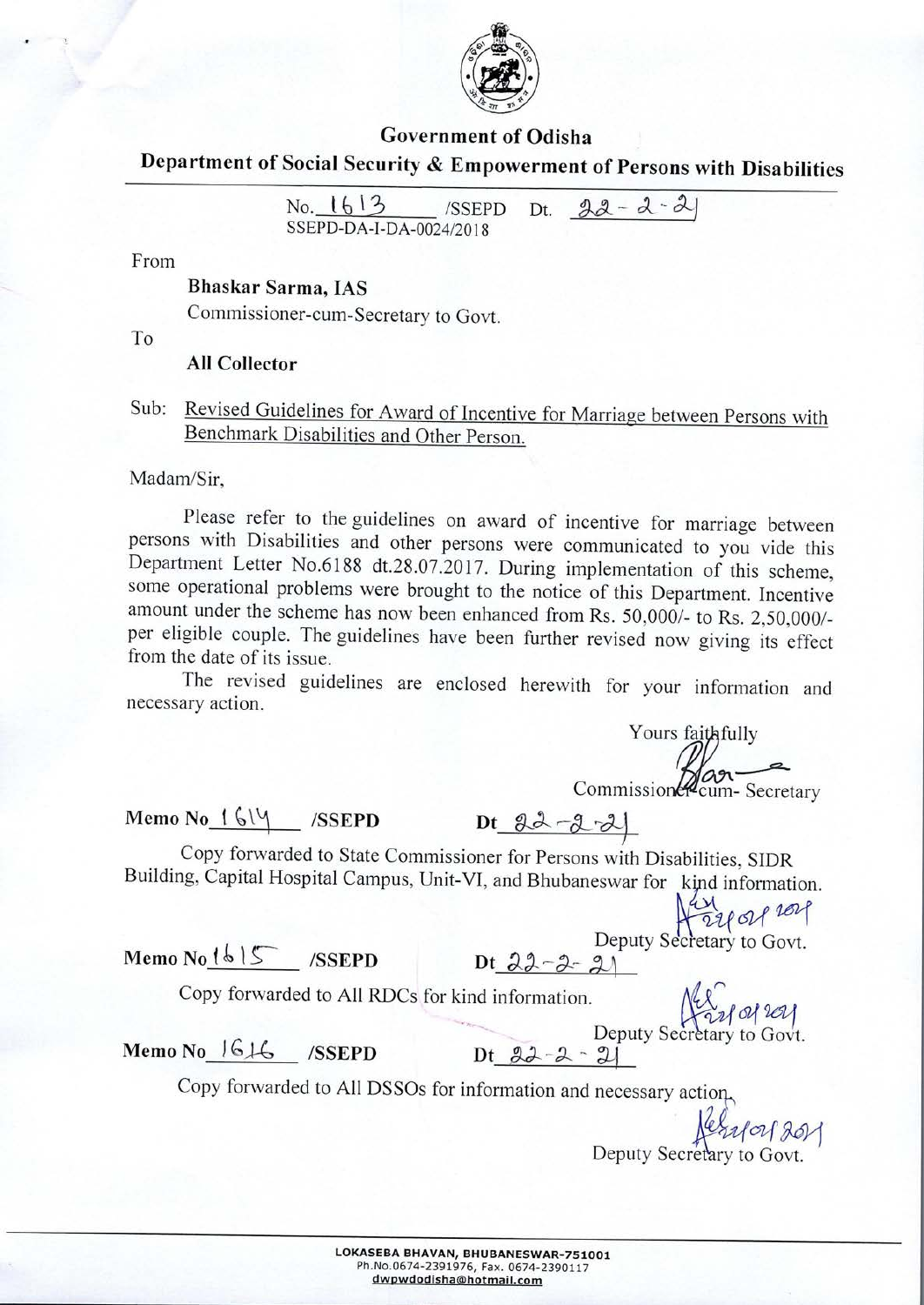

#### **Government of Odisha**

**Department of Social Security & Empowerment of Persons with Disabilities**

|                         |  | Social Security & Empowerment of Persons w |
|-------------------------|--|--------------------------------------------|
| SSEPD-DA-I-DA-0024/2018 |  | No. $1613$ /SSEPD Dt. $22 - 2 - 21$        |

From

#### **Bhaskar Sarma, IAS**

Commissioner-cum-Secretary to Govt.

To

#### **All Collector**

Sub: Revised Guidelines for Award of Incentive for Marriage between Persons with Benchmark Disabilities and Other Person.

Madam/Sir,

Please refer to the guidelines on award of incentive for marriage between persons with Disabilities and other persons were communicated to you vide this Department Letter No.6188 dt.28.07.2017. During implementation of this scheme, some operational problems were brought to the notice of this Department. Incentive amount under the scheme has now been enhanced from Rs. 50,000/- to Rs. 2,50,000/ per eligible couple. The guidelines have been further revised now giving its effect from the date of its issue.

The revised guidelines are enclosed herewith for your information and necessary action.

Yours faithfully Commission 2 cum-Secretary<br>Dt 22 -2 -2

# **Memo No\_!\_' /SSEPD**

Copy forwarded to State Commissioner for Persons with Disabilities, SIDR Copy forwarded to State Commissioner for Persons with Disabilities, SIDR<br>Building, Capital Hospital Campus, Unit-VI, and Bhubaneswar for kind information.

 $Memo\ No$ <sup> $\{b\}$ </sup> $S$  */SSEPD* 

Deputy Secretary to Govt.

**Copy forwarded** to **All RDCs for kind information. ~***a/ ;611*

Deputy Secretary to Govt.

**Memo No**\_I&LG **ISSEPD Dt**\_22 \_22\_2]

Copy forwarded to All DSSOs for information and necessary action,

**....\$see**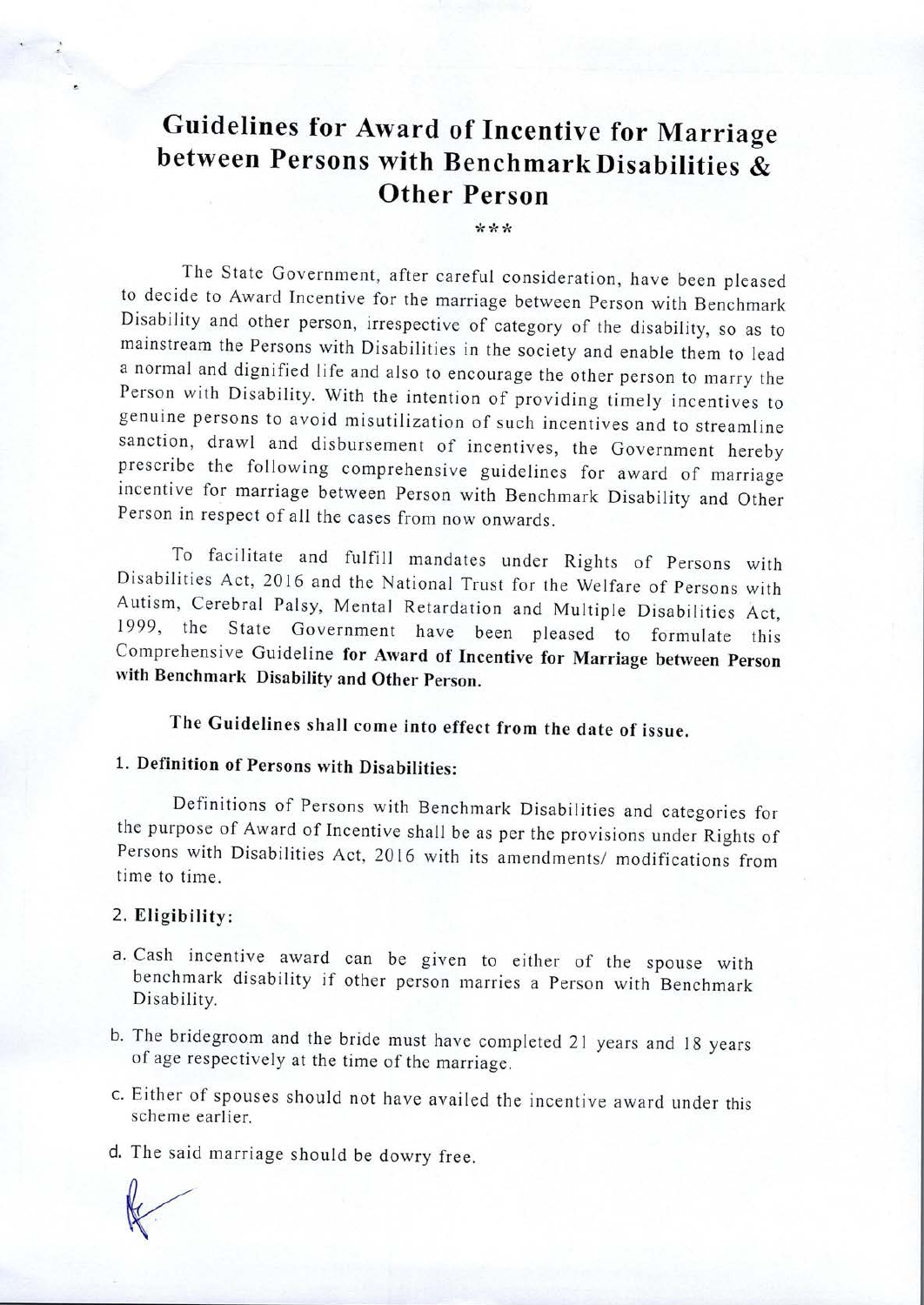# **Guidelines for Award of Incentive for Marriage between Persons with BenchmarkDisabilities** & **Other Person**

\*\*\*

The State Government, after careful consideration, have been pleased to decide to Award Incentive for the marriage between Person with Benchmark Disability and other person, irrespective of category of the disability, so as to mainstream the Persons with Disabilities in the society and enable them to lead <sup>a</sup> normal and dignified life and also to encourage the other person to marry the Person with Disability. With the intention of providing timely incentives to genuine persons to avoid misutilization of such incentives and to streamline sanction, drawl and disbursement of incentives, the Government hereby prescribe the following comprehensive guidelines for award of marriage incentive for marriage between Person with Benchmark Disability and Other Person in respect of all the cases from now onwards.

To facilitate and fulfill mandates under Rights of Persons with Disabilities Act, 2016 and the National Trust for the Welfare of Persons with Autism, Cerebral Palsy, Mental Retardation and Multiple Disabilities Act, 1999, the State Government have been pleased to formulate this Comprehensive Guideline **for Award of Incentive for Marriage between Person with Benchmark Disability and Other Person.**

**The Guidelines shall come into effect from the date of issue.**

## **1. Definition of Persons with Disabilities:**

Definitions of Persons with Benchmark Disabilities and categories for the purpose of Award of Incentive shall be as per the provisions under Rights of Persons with Disabilities Act, 2016 with its amendments/ modifications from time to time.

#### 2. **Eligibility:**

- a. Cash incentive award can be given to either of the spouse with benchmark disability if other person marries <sup>a</sup> Person with Benchmark Disability.
- b. The bridegroom and the bride must have completed 21 years and 18 years of age respectively at the time of the marriage.
- c. Either of spouses should not have availed the incentive award under this scheme earlier.

d. The said marriage should be dowry free.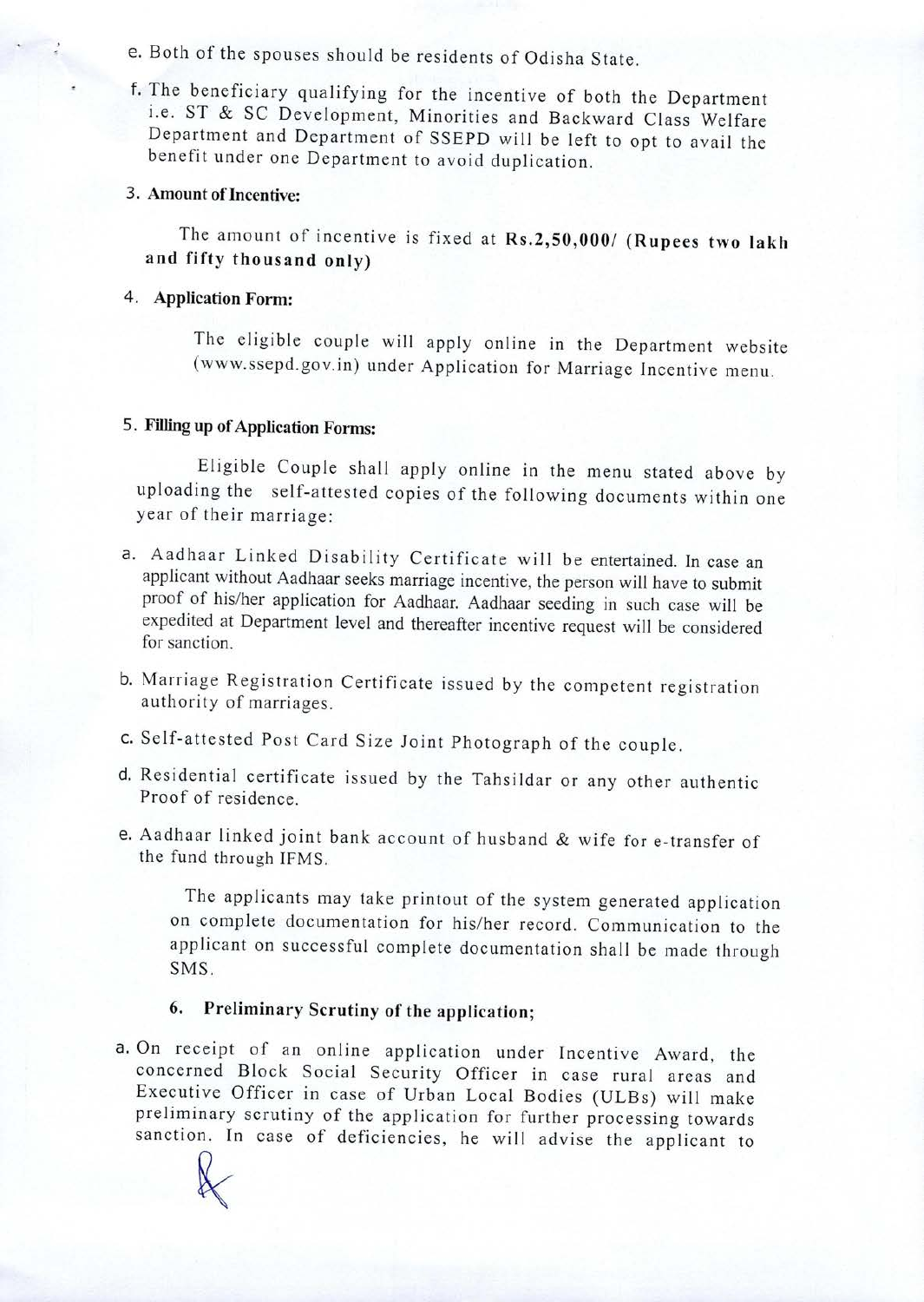## e. Both of the spouses should be residents of Odisha State.

f. The beneficiary qualifying for the incentive of both the Department i.e. ST & SC Development, Minorities and Backward Class Welfare Department and Department of SSEPD will be left to opt to avail the benefit under one Department to avoid duplication.

### 3. **Amount oflncentive:**

The amount of incentive is fixed at **Rs.2,50,000/ (Rupees two lakh and fifty thousand only)**

### 4. **Application Form:**

The eligible couple will apply online in the Department website (www.ssepd.gov.in) under Application for Marriage Incentive menu.

## 5. **Filling up of Application Forms:**

Eligible Couple shall apply online in the menu stated above by uploading the self-attested copies of the following documents within one year of their marriage:

- a. Aadhaar Linked Disability Certificate will be entertained. In case an applicant without Aadhaar seeks marriage incentive, the person will have to submit proof of his/her application for Aadhaar. Aadhaar seeding in such case will be expedited at Department level and thereafter incentive request will be considered for sanction.
- b. Marriage Registration Certificate issued by the competent registration authority of marriages.
- c. Self-attested Post Card Size Joint Photograph of the couple.
- d. Residential certificate issued by the Tahsildar or any other authentic Proof of residence.
- e. Aadhaar linked joint bank account of husband & wife for e-transfer of the fund through IFMS.

The applicants may take printout of the system generated application on complete documentation for his/her record. Communication to the applicant on successful complete documentation shall be made through SMS.

## **6. Preliminary Scrutiny of the application;**

a. On receipt of an online application under Incentive Award, the concerned Block Social Security Officer in case rural areas and Executive Officer in case of Urban Local Bodies (ULBs) will make preliminary scrutiny of the application for further processing towards sanction. In case of deficiencies, he will advise the applicant to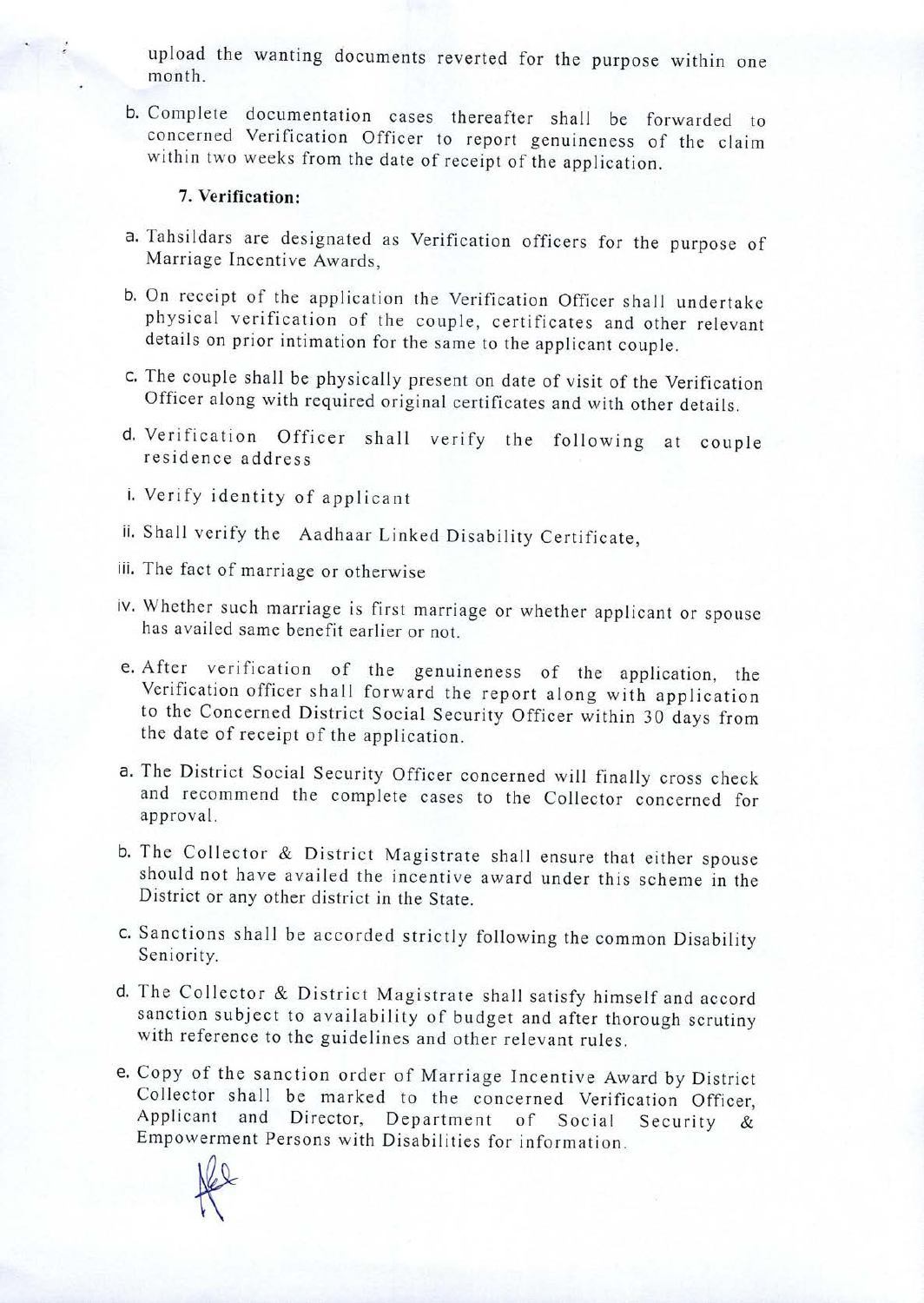upload the wanting documents reverted for the purpose within one month.

b. Complete documentation cases thereafter shall be forwarded to concerned Verification Officer to report genuineness of the claim within two weeks from the date of receipt of the application.

#### 7. **Verification:**

- a. Tahsildars are designated as Verification officers for the purpose of Marriage Incentive Awards,
- b. On receipt of the application the Verification Officer shall undertake physical verification of the couple, certificates and other relevant details on prior intimation for the same to the applicant couple.
- c. The couple shall be physically present on date of visit of the Verification Officer along with required original certificates and with other details.
- d. Verification Officer shall verify the following at couple residence address
- i. Verify identity of applicant
- ii. Shall verify the Aadhaar Linked Disability Certificate,
- iii. The fact of marriage or otherwise
- iv. Whether such marriage is first marriage or whether applicant or spouse has availed same benefit earlier or not.
- e. After verification of the genuineness of the application, the Verification officer shall forward the report along with application to the Concerned District Social Security Officer within 30 days from the date of receipt of the application.
- a. The District Social Security Officer concerned will finally cross check and recommend the complete cases to the Collector concerned for approval.
- b. The Collector & District Magistrate shall ensure that either spouse should not have availed the incentive award under this scheme in the District or any other district in the State.
- c. Sanctions shall be accorded strictly following the common Disability Seniority.
- d. The Collector & District Magistrate shall satisfy himself and accord sanction subject to availability of budget and after thorough scrutiny with reference to the guidelines and other relevant rules.
- e. Copy of the sanction order of Marriage Incentive Award by District Collector shall be marked to the concerned Verification Officer, Applicant and Director, Department of Social Security & Empowerment Persons with Disabilities for information.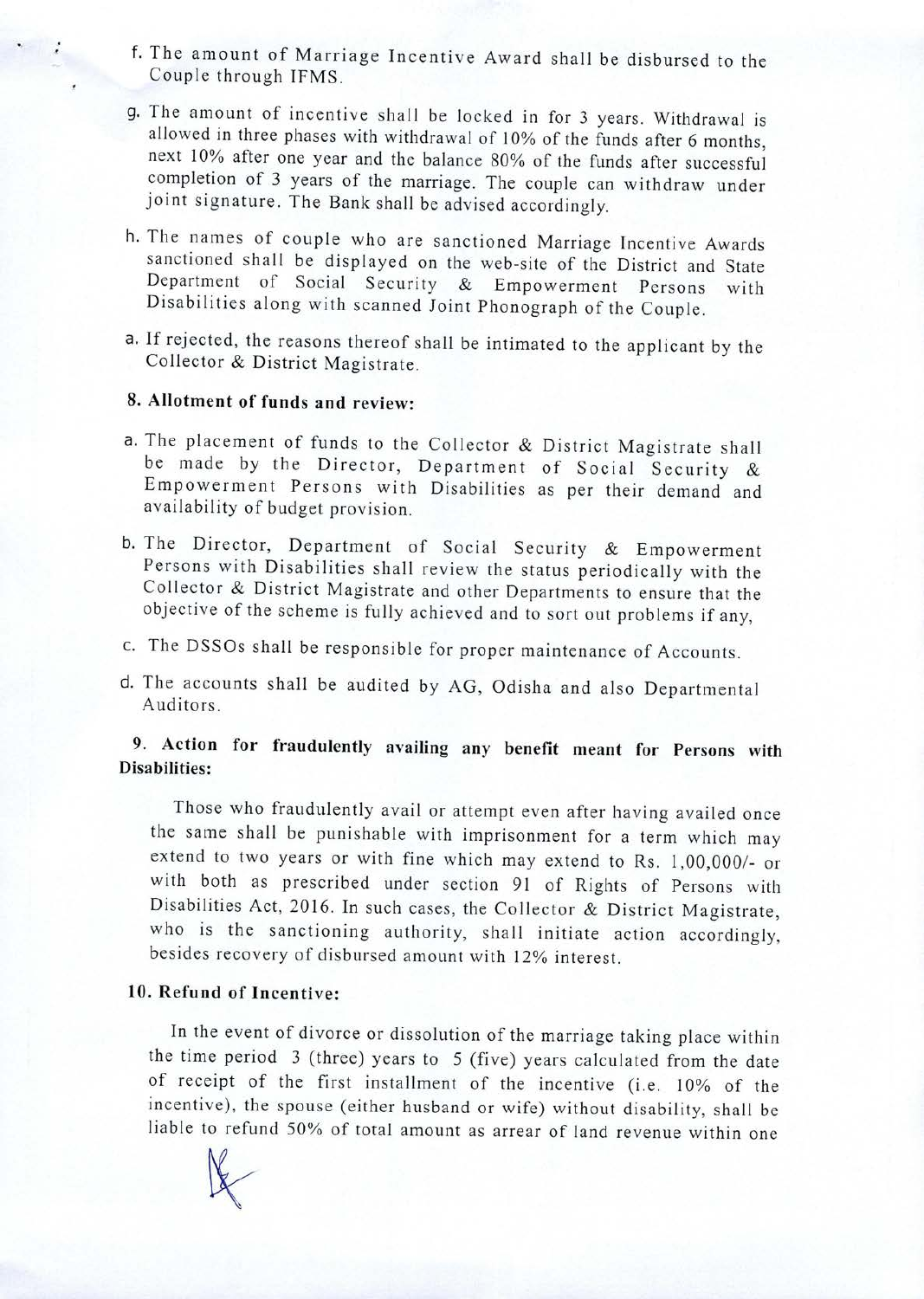- f. The amount of Marriage Incentive Award shall be disbursed to the Couple through TFMS.
- g. The amount of incentive shall be locked in for <sup>3</sup> years. Withdrawal is allowed in three phases with withdrawal of 10% of the funds after 6 months, next 10% after one year and the balance 80% of the funds after successful completion of <sup>3</sup> years of the marriage. The couple can withdraw under joint signature. The Bank shall be advised accordingly.
- h. The names of couple who are sanctioned Marriage Incentive Awards sanctioned shall be displayed on the web-site of the District and State Department of Social Security & Empowerment Persons with Disabilities along with scanned Joint Phonograph of the Couple.
- a. If rejected, the reasons thereof shall be intimated to the applicant by the Collector & District Magistrate.

### **8. Allotment of funds and review:**

- a. The placement of funds to the Collector & District Magistrate shall be made by the Director, Department of Social Security & Empowerment Persons with Disabilities as per their demand and availability of budget provision.
- b. The Director, Department of Social Security & Empowerment Persons with Disabilities shall review the status periodically with the Collector & District Magistrate and other Departments to ensure that the objective of the scheme is fully achieved and to sort out problems if any,
- c. The DSSOs shall be responsible for proper maintenance of Accounts.
- d. The accounts shall be audited by AG, Odisha and also Departmental Auditors.

## **9. Action for fraudulently availing any benefit meant for Persons with Disabilities:**

Those who fraudulently avail or attempt even after having availed once the same shall be punishable with imprisonment for <sup>a</sup> term which may extend to two years or with fine which may extend to Rs. 1,00,000/- or with both as prescribed under section 91 of Rights of Persons with Disabilities Act, 2016. In such cases, the Collector & District Magistrate, who is the sanctioning authority, shall initiate action accordingly, besides recovery of disbursed amount with 12% interest.

#### **10. Refund of Incentive:**

In the event of divorce or dissolution of the marriage taking place within the time period <sup>3</sup> (three) years to <sup>5</sup> (five) years calculated from the date of receipt of the first installment of the incentive (i.e. 10% of the incentive), the spouse (either husband or wife) without disability, shall be liable to refund 50% of total amount as arrear of land revenue within one